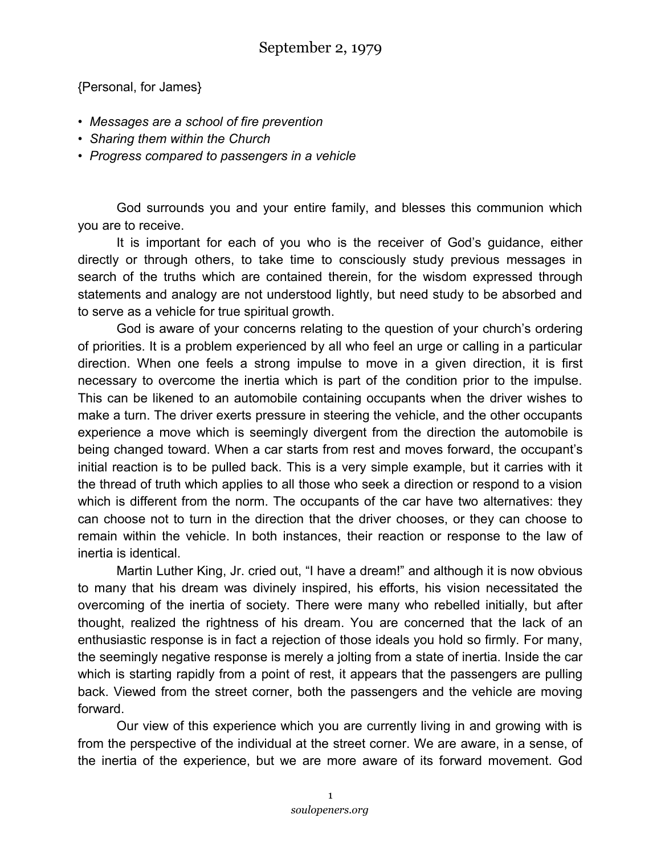{Personal, for James}

- *Messages are a school of fire prevention*
- *Sharing them within the Church*
- *Progress compared to passengers in a vehicle*

God surrounds you and your entire family, and blesses this communion which you are to receive.

It is important for each of you who is the receiver of God's guidance, either directly or through others, to take time to consciously study previous messages in search of the truths which are contained therein, for the wisdom expressed through statements and analogy are not understood lightly, but need study to be absorbed and to serve as a vehicle for true spiritual growth.

God is aware of your concerns relating to the question of your church's ordering of priorities. It is a problem experienced by all who feel an urge or calling in a particular direction. When one feels a strong impulse to move in a given direction, it is first necessary to overcome the inertia which is part of the condition prior to the impulse. This can be likened to an automobile containing occupants when the driver wishes to make a turn. The driver exerts pressure in steering the vehicle, and the other occupants experience a move which is seemingly divergent from the direction the automobile is being changed toward. When a car starts from rest and moves forward, the occupant's initial reaction is to be pulled back. This is a very simple example, but it carries with it the thread of truth which applies to all those who seek a direction or respond to a vision which is different from the norm. The occupants of the car have two alternatives: they can choose not to turn in the direction that the driver chooses, or they can choose to remain within the vehicle. In both instances, their reaction or response to the law of inertia is identical.

Martin Luther King, Jr. cried out, "I have a dream!" and although it is now obvious to many that his dream was divinely inspired, his efforts, his vision necessitated the overcoming of the inertia of society. There were many who rebelled initially, but after thought, realized the rightness of his dream. You are concerned that the lack of an enthusiastic response is in fact a rejection of those ideals you hold so firmly. For many, the seemingly negative response is merely a jolting from a state of inertia. Inside the car which is starting rapidly from a point of rest, it appears that the passengers are pulling back. Viewed from the street corner, both the passengers and the vehicle are moving forward.

Our view of this experience which you are currently living in and growing with is from the perspective of the individual at the street corner. We are aware, in a sense, of the inertia of the experience, but we are more aware of its forward movement. God